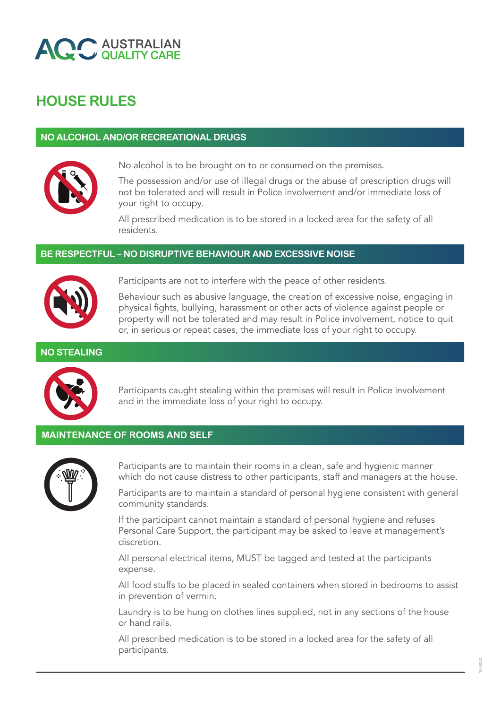

# **HOUSE RULES**

## **NO ALCOHOL AND/OR RECREATIONAL DRUGS**



No alcohol is to be brought on to or consumed on the premises.

The possession and/or use of illegal drugs or the abuse of prescription drugs will not be tolerated and will result in Police involvement and/or immediate loss of your right to occupy.

All prescribed medication is to be stored in a locked area for the safety of all residents.

## **BE RESPECTFUL – NO DISRUPTIVE BEHAVIOUR AND EXCESSIVE NOISE**



Participants are not to interfere with the peace of other residents.

Behaviour such as abusive language, the creation of excessive noise, engaging in physical fights, bullying, harassment or other acts of violence against people or property will not be tolerated and may result in Police involvement, notice to quit or, in serious or repeat cases, the immediate loss of your right to occupy.

## **NO STEALING**



Participants caught stealing within the premises will result in Police involvement and in the immediate loss of your right to occupy.

## **MAINTENANCE OF ROOMS AND SELF**



Participants are to maintain their rooms in a clean, safe and hygienic manner which do not cause distress to other participants, staff and managers at the house.

Participants are to maintain a standard of personal hygiene consistent with general community standards.

If the participant cannot maintain a standard of personal hygiene and refuses Personal Care Support, the participant may be asked to leave at management's discretion.

All personal electrical items, MUST be tagged and tested at the participants expense.

All food stuffs to be placed in sealed containers when stored in bedrooms to assist in prevention of vermin.

Laundry is to be hung on clothes lines supplied, not in any sections of the house or hand rails.

All prescribed medication is to be stored in a locked area for the safety of all participants.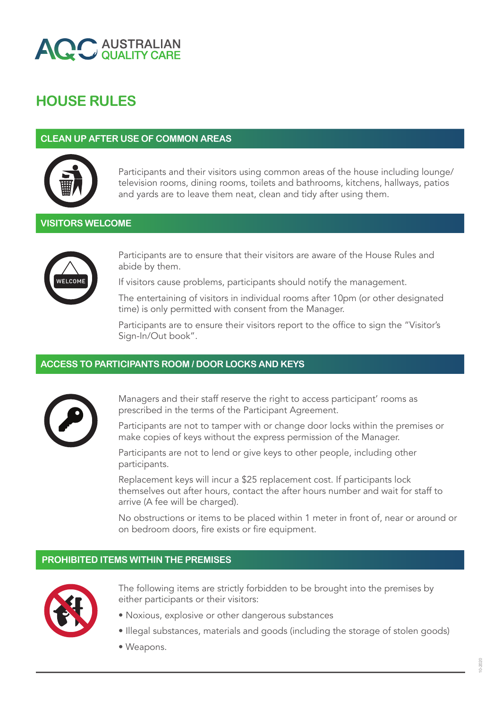

# **HOUSE RULES**

### **CLEAN UP AFTER USE OF COMMON AREAS**



Participants and their visitors using common areas of the house including lounge/ television rooms, dining rooms, toilets and bathrooms, kitchens, hallways, patios and yards are to leave them neat, clean and tidy after using them.

## **VISITORS WELCOME**



Participants are to ensure that their visitors are aware of the House Rules and abide by them.

If visitors cause problems, participants should notify the management.

The entertaining of visitors in individual rooms after 10pm (or other designated time) is only permitted with consent from the Manager.

Participants are to ensure their visitors report to the office to sign the "Visitor's Sign-In/Out book".

## **ACCESS TO PARTICIPANTS ROOM / DOOR LOCKS AND KEYS**



Managers and their staff reserve the right to access participant' rooms as prescribed in the terms of the Participant Agreement.

Participants are not to tamper with or change door locks within the premises or make copies of keys without the express permission of the Manager.

Participants are not to lend or give keys to other people, including other participants.

Replacement keys will incur a \$25 replacement cost. If participants lock themselves out after hours, contact the after hours number and wait for staff to arrive (A fee will be charged).

No obstructions or items to be placed within 1 meter in front of, near or around or on bedroom doors, fire exists or fire equipment.

#### **PROHIBITED ITEMS WITHIN THE PREMISES**



The following items are strictly forbidden to be brought into the premises by either participants or their visitors:

- Noxious, explosive or other dangerous substances
- Illegal substances, materials and goods (including the storage of stolen goods)
- Weapons.